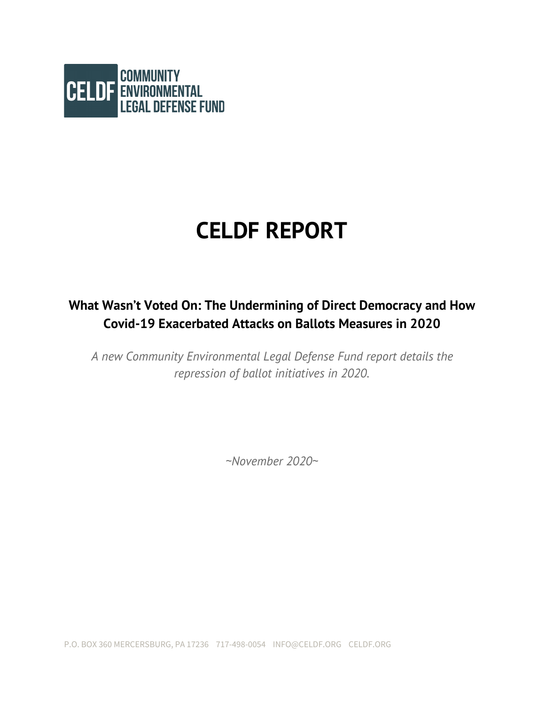

# **CELDF REPORT**

### **What Wasn't Voted On: The Undermining of Direct Democracy and How Covid-19 Exacerbated Attacks on Ballots Measures in 2020**

*A new Community Environmental Legal Defense Fund report details the repression of ballot initiatives in 2020.*

*~November 2020~*

P.O. BOX 360 MERCERSBURG, PA 17236 717-498-0054 INFO@CELDF.ORG CELDF.ORG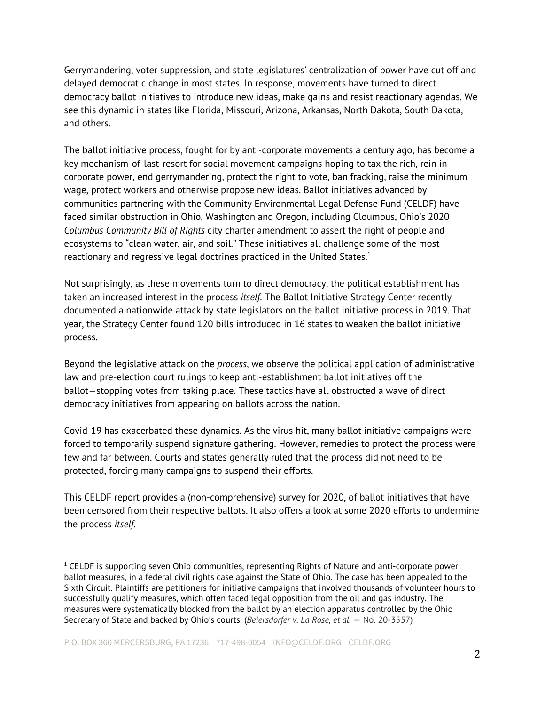Gerrymandering, voter suppression, and state legislatures' centralization of power have cut off and delayed democratic change in most states. In response, movements have turned to direct democracy ballot initiatives to introduce new ideas, make gains and resist reactionary agendas. We see this dynamic in states like Florida, Missouri, Arizona, Arkansas, North Dakota, South Dakota, and others.

The ballot initiative process, fought for by anti-corporate movements a century ago, has become a key mechanism-of-last-resort for social movement campaigns hoping to tax the rich, rein in corporate power, end gerrymandering, protect the right to vote, ban fracking, raise the minimum wage, protect workers and otherwise propose new ideas. Ballot initiatives advanced by communities partnering with the Community Environmental Legal Defense Fund (CELDF) have faced similar obstruction in Ohio, Washington and Oregon, including Cloumbus, Ohio's 2020 *Columbus Community Bill of Rights* city charter amendment to assert the right of people and ecosystems to "clean water, air, and soil." These initiatives all challenge some of the most reactionary and regressive legal doctrines practiced in the United States. $^1$ 

Not surprisingly, as these movements turn to direct democracy, the political establishment has taken an increased interest in the process *itself*. The Ballot Initiative Strategy Center recently documented a nationwide attack by state legislators on the ballot initiative process in 2019. That year, the Strategy Center found 120 bills introduced in 16 states to weaken the ballot initiative process.

Beyond the legislative attack on the *process*, we observe the political application of administrative law and pre-election court rulings to keep anti-establishment ballot initiatives off the ballot—stopping votes from taking place. These tactics have all obstructed a wave of direct democracy initiatives from appearing on ballots across the nation.

Covid-19 has exacerbated these dynamics. As the virus hit, many ballot initiative campaigns were forced to temporarily suspend signature gathering. However, remedies to protect the process were few and far between. Courts and states generally ruled that the process did not need to be protected, forcing many campaigns to suspend their efforts.

This CELDF report provides a (non-comprehensive) survey for 2020, of ballot initiatives that have been censored from their respective ballots. It also offers a look at some 2020 efforts to undermine the process *itself*.

 $1$  CELDF is supporting seven Ohio communities, representing Rights of Nature and anti-corporate power ballot measures, in a federal civil rights case against the State of Ohio. The case has been appealed to the Sixth Circuit. Plaintiffs are petitioners for initiative campaigns that involved thousands of volunteer hours to successfully qualify measures, which often faced legal opposition from the oil and gas industry. The measures were systematically blocked from the ballot by an election apparatus controlled by the Ohio Secretary of State and backed by Ohio's courts. (*Beiersdorfer v. La Rose, et al.* — No. 20-3557)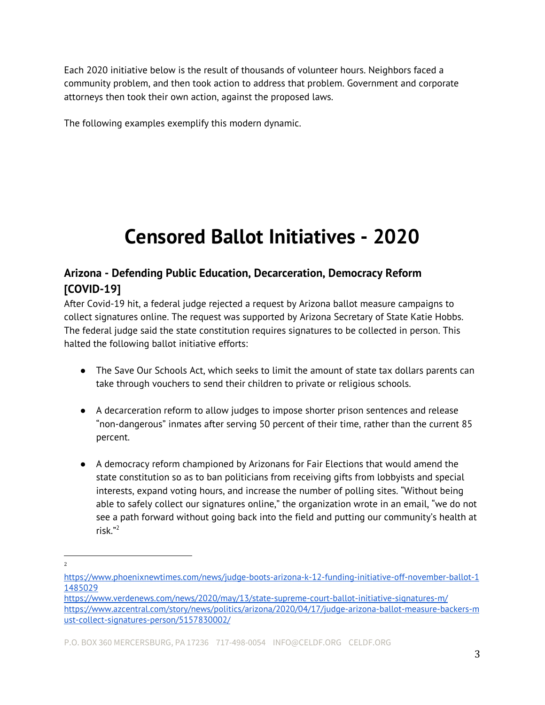Each 2020 initiative below is the result of thousands of volunteer hours. Neighbors faced a community problem, and then took action to address that problem. Government and corporate attorneys then took their own action, against the proposed laws.

The following examples exemplify this modern dynamic.

## **Censored Ballot Initiatives - 2020**

#### **Arizona - Defending Public Education, Decarceration, Democracy Reform [COVID-19]**

After Covid-19 hit, a federal judge rejected a request by Arizona ballot measure campaigns to collect signatures online. The request was supported by Arizona Secretary of State Katie Hobbs. The federal judge said the state constitution requires signatures to be collected in person. This halted the following ballot initiative efforts:

- The Save Our Schools Act, which seeks to limit the amount of state tax dollars parents can take through vouchers to send their children to private or religious schools.
- A decarceration reform to allow judges to impose shorter prison sentences and release "non-dangerous" inmates after serving 50 percent of their time, rather than the current 85 percent.
- A democracy reform championed by Arizonans for Fair Elections that would amend the state constitution so as to ban politicians from receiving gifts from lobbyists and special interests, expand voting hours, and increase the number of polling sites. "Without being able to safely collect our signatures online," the organization wrote in an email, "we do not see a path forward without going back into the field and putting our community's health at risk." 2

<sup>2</sup>

[https://www.phoenixnewtimes.com/news/judge-boots-arizona-k-12-funding-initiative-off-november-ballot-1](https://www.phoenixnewtimes.com/news/judge-boots-arizona-k-12-funding-initiative-off-november-ballot-11485029) [1485029](https://www.phoenixnewtimes.com/news/judge-boots-arizona-k-12-funding-initiative-off-november-ballot-11485029)

<https://www.verdenews.com/news/2020/may/13/state-supreme-court-ballot-initiative-signatures-m/> [https://www.azcentral.com/story/news/politics/arizona/2020/04/17/judge-arizona-ballot-measure-backers-m](https://www.azcentral.com/story/news/politics/arizona/2020/04/17/judge-arizona-ballot-measure-backers-must-collect-signatures-person/5157830002/) [ust-collect-signatures-person/5157830002/](https://www.azcentral.com/story/news/politics/arizona/2020/04/17/judge-arizona-ballot-measure-backers-must-collect-signatures-person/5157830002/)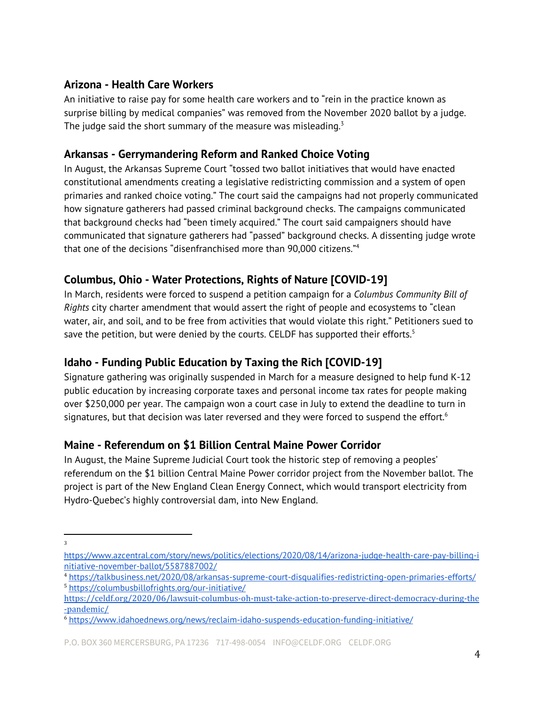#### **Arizona - Health Care Workers**

An initiative to raise pay for some health care workers and to "rein in the practice known as surprise billing by medical companies" was removed from the November 2020 ballot by a judge. The judge said the short summary of the measure was misleading. $^3$ 

#### **Arkansas - Gerrymandering Reform and Ranked Choice Voting**

In August, the Arkansas Supreme Court "tossed two ballot initiatives that would have enacted constitutional amendments creating a legislative redistricting commission and a system of open primaries and ranked choice voting." The court said the campaigns had not properly communicated how signature gatherers had passed criminal background checks. The campaigns communicated that background checks had "been timely acquired." The court said campaigners should have communicated that signature gatherers had "passed" background checks. A dissenting judge wrote that one of the decisions "disenfranchised more than 90,000 citizens." 4

#### **Columbus, Ohio - Water Protections, Rights of Nature [COVID-19]**

In March, residents were forced to suspend a petition campaign for a *Columbus Community Bill of Rights* city charter amendment that would assert the right of people and ecosystems to "clean water, air, and soil, and to be free from activities that would violate this right." Petitioners sued to save the petition, but were denied by the courts. CELDF has supported their efforts. $^5$ 

#### **Idaho - Funding Public Education by Taxing the Rich [COVID-19]**

Signature gathering was originally suspended in March for a measure designed to help fund K-12 public education by increasing corporate taxes and personal income tax rates for people making over \$250,000 per year. The campaign won a court case in July to extend the deadline to turn in signatures, but that decision was later reversed and they were forced to suspend the effort. $^6$ 

#### **Maine - Referendum on \$1 Billion Central Maine Power Corridor**

In August, the Maine Supreme Judicial Court took the historic step of removing a peoples' referendum on the \$1 billion Central Maine Power corridor project from the November ballot. The project is part of the New England Clean Energy Connect, which would transport electricity from Hydro-Quebec's highly controversial dam, into New England.

<sup>3</sup>

[https://www.azcentral.com/story/news/politics/elections/2020/08/14/arizona-judge-health-care-pay-billing-i](https://www.azcentral.com/story/news/politics/elections/2020/08/14/arizona-judge-health-care-pay-billing-initiative-november-ballot/5587887002/) [nitiative-november-ballot/5587887002/](https://www.azcentral.com/story/news/politics/elections/2020/08/14/arizona-judge-health-care-pay-billing-initiative-november-ballot/5587887002/)

<sup>4</sup> <https://talkbusiness.net/2020/08/arkansas-supreme-court-disqualifies-redistricting-open-primaries-efforts/> <sup>5</sup> <https://columbusbillofrights.org/our-initiative/>

[https://celdf.org/2020/06/lawsuit-columbus-oh-must-take-action-to-preserve-direct-democracy-during-the](https://celdf.org/2020/06/lawsuit-columbus-oh-must-take-action-to-preserve-direct-democracy-during-the-pandemic/) [-pandemic/](https://celdf.org/2020/06/lawsuit-columbus-oh-must-take-action-to-preserve-direct-democracy-during-the-pandemic/)

<sup>6</sup> <https://www.idahoednews.org/news/reclaim-idaho-suspends-education-funding-initiative/>

P.O. BOX 360 MERCERSBURG, PA 17236 717-498-0054 INFO@CELDF.ORG CELDF.ORG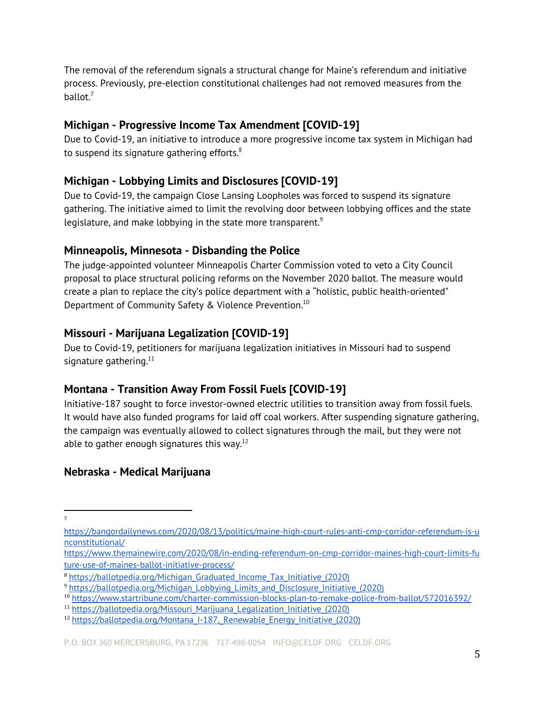The removal of the referendum signals a structural change for Maine's referendum and initiative process. Previously, pre-election constitutional challenges had not removed measures from the ballot.<sup>7</sup>

#### **Michigan - Progressive Income Tax Amendment [COVID-19]**

Due to Covid-19, an initiative to introduce a more progressive income tax system in Michigan had to suspend its signature gathering efforts. $8$ 

#### **Michigan - Lobbying Limits and Disclosures [COVID-19]**

Due to Covid-19, the campaign Close Lansing Loopholes was forced to suspend its signature gathering. The initiative aimed to limit the revolving door between lobbying offices and the state legislature, and make lobbying in the state more transparent. $^9$ 

#### **Minneapolis, Minnesota - Disbanding the Police**

The judge-appointed volunteer Minneapolis Charter Commission voted to veto a City Council proposal to place structural policing reforms on the November 2020 ballot. The measure would create a plan to replace the city's police department with a "holistic, public health-oriented" Department of Community Safety & Violence Prevention. 10

#### **Missouri - Marijuana Legalization [COVID-19]**

Due to Covid-19, petitioners for marijuana legalization initiatives in Missouri had to suspend signature gathering.<sup>11</sup>

#### **Montana - Transition Away From Fossil Fuels [COVID-19]**

Initiative-187 sought to force investor-owned electric utilities to transition away from fossil fuels. It would have also funded programs for laid off coal workers. After suspending signature gathering, the campaign was eventually allowed to collect signatures through the mail, but they were not able to gather enough signatures this way. $^{12}$ 

#### **Nebraska - Medical Marijuana**

[https://bangordailynews.com/2020/08/13/politics/maine-high-court-rules-anti-cmp-corridor-referendum-is-u](https://bangordailynews.com/2020/08/13/politics/maine-high-court-rules-anti-cmp-corridor-referendum-is-unconstitutional/) [nconstitutional/](https://bangordailynews.com/2020/08/13/politics/maine-high-court-rules-anti-cmp-corridor-referendum-is-unconstitutional/)

[https://www.themainewire.com/2020/08/in-ending-referendum-on-cmp-corridor-maines-high-court-limits-fu](https://www.themainewire.com/2020/08/in-ending-referendum-on-cmp-corridor-maines-high-court-limits-future-use-of-maines-ballot-initiative-process/) [ture-use-of-maines-ballot-initiative-process/](https://www.themainewire.com/2020/08/in-ending-referendum-on-cmp-corridor-maines-high-court-limits-future-use-of-maines-ballot-initiative-process/)

<sup>8</sup> [https://ballotpedia.org/Michigan\\_Graduated\\_Income\\_Tax\\_Initiative\\_\(2020\)](https://ballotpedia.org/Michigan_Graduated_Income_Tax_Initiative_(2020))

<sup>&</sup>lt;sup>9</sup> [https://ballotpedia.org/Michigan\\_Lobbying\\_Limits\\_and\\_Disclosure\\_Initiative\\_\(2020\)](https://ballotpedia.org/Michigan_Lobbying_Limits_and_Disclosure_Initiative_(2020))

<sup>10</sup> <https://www.startribune.com/charter-commission-blocks-plan-to-remake-police-from-ballot/572016392/>

<sup>&</sup>lt;sup>11</sup> [https://ballotpedia.org/Missouri\\_Marijuana\\_Legalization\\_Initiative\\_\(2020\)](https://ballotpedia.org/Missouri_Marijuana_Legalization_Initiative_(2020))

<sup>&</sup>lt;sup>12</sup> https://ballotpedia.org/Montana\_I-187, Renewable\_Energy\_Initiative\_(2020)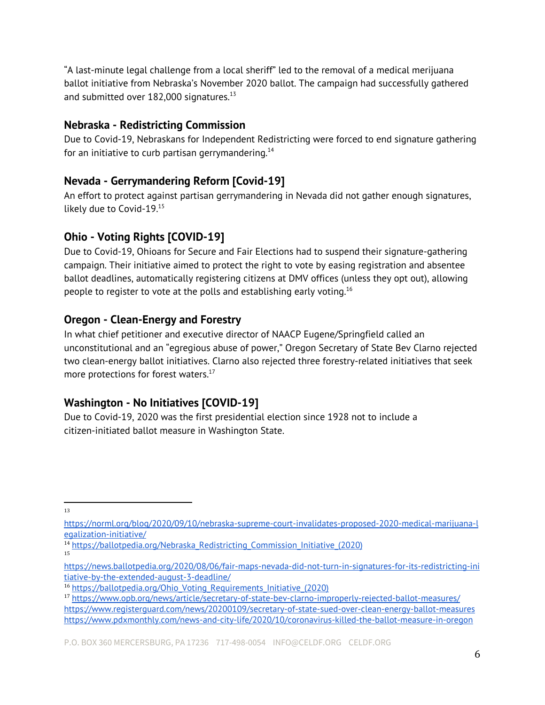"A last-minute legal challenge from a local sheriff" led to the removal of a medical merijuana ballot initiative from Nebraska's November 2020 ballot. The campaign had successfully gathered and submitted over  $182,000$  signatures. $^{13}$ 

#### **Nebraska - Redistricting Commission**

Due to Covid-19, Nebraskans for Independent Redistricting were forced to end signature gathering for an initiative to curb partisan gerrymandering. $^{\rm 14}$ 

#### **Nevada - Gerrymandering Reform [Covid-19]**

An effort to protect against partisan gerrymandering in Nevada did not gather enough signatures, likely due to Covid-19.<sup>15</sup>

#### **Ohio - Voting Rights [COVID-19]**

Due to Covid-19, Ohioans for Secure and Fair Elections had to suspend their signature-gathering campaign. Their initiative aimed to protect the right to vote by easing registration and absentee ballot deadlines, automatically registering citizens at DMV offices (unless they opt out), allowing people to register to vote at the polls and establishing early voting. $^{16}$ 

#### **Oregon - Clean-Energy and Forestry**

In what chief petitioner and executive director of NAACP Eugene/Springfield called an unconstitutional and an "egregious abuse of power," Oregon Secretary of State Bev Clarno rejected two clean-energy ballot initiatives. Clarno also rejected three forestry-related initiatives that seek more protections for forest waters. $^{17}$ 

#### **Washington - No Initiatives [COVID-19]**

Due to Covid-19, 2020 was the first presidential election since 1928 not to include a citizen-initiated ballot measure in Washington State.

[https://norml.org/blog/2020/09/10/nebraska-supreme-court-invalidates-proposed-2020-medical-marijuana-l](https://norml.org/blog/2020/09/10/nebraska-supreme-court-invalidates-proposed-2020-medical-marijuana-legalization-initiative/) [egalization-initiative/](https://norml.org/blog/2020/09/10/nebraska-supreme-court-invalidates-proposed-2020-medical-marijuana-legalization-initiative/)

<sup>&</sup>lt;sup>14</sup> https://ballotpedia.org/Nebraska Redistricting Commission Initiative (2020) 15

[https://news.ballotpedia.org/2020/08/06/fair-maps-nevada-did-not-turn-in-signatures-for-its-redistricting-ini](https://news.ballotpedia.org/2020/08/06/fair-maps-nevada-did-not-turn-in-signatures-for-its-redistricting-initiative-by-the-extended-august-3-deadline/) [tiative-by-the-extended-august-3-deadline/](https://news.ballotpedia.org/2020/08/06/fair-maps-nevada-did-not-turn-in-signatures-for-its-redistricting-initiative-by-the-extended-august-3-deadline/)

<sup>16</sup> [https://ballotpedia.org/Ohio\\_Voting\\_Requirements\\_Initiative\\_\(2020\)](https://ballotpedia.org/Ohio_Voting_Requirements_Initiative_(2020))

<sup>17</sup> <https://www.opb.org/news/article/secretary-of-state-bev-clarno-improperly-rejected-ballot-measures/> <https://www.registerguard.com/news/20200109/secretary-of-state-sued-over-clean-energy-ballot-measures> <https://www.pdxmonthly.com/news-and-city-life/2020/10/coronavirus-killed-the-ballot-measure-in-oregon>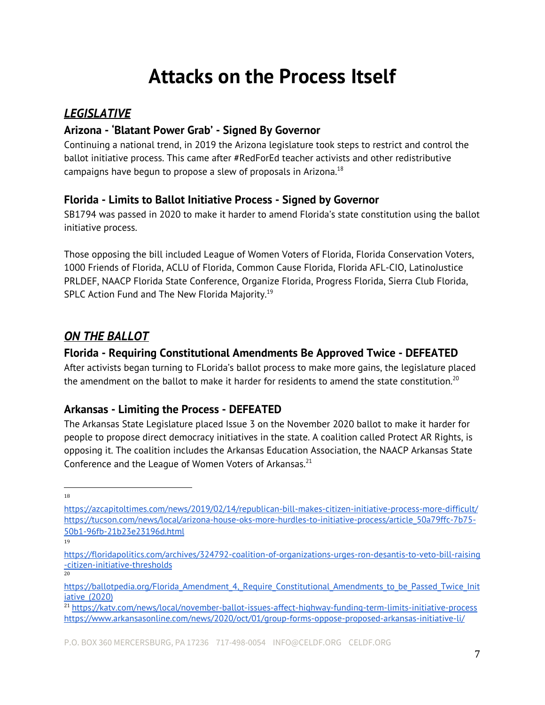## **Attacks on the Process Itself**

#### *LEGISLATIVE*

#### **Arizona - 'Blatant Power Grab' - Signed By Governor**

Continuing a national trend, in 2019 the Arizona legislature took steps to restrict and control the ballot initiative process. This came after #RedForEd teacher activists and other redistributive campaigns have begun to propose a slew of proposals in Arizona. $^{18}$ 

#### **Florida - Limits to Ballot Initiative Process - Signed by Governor**

SB1794 was passed in 2020 to make it harder to amend Florida's state constitution using the ballot initiative process.

Those opposing the bill included League of Women Voters of Florida, Florida Conservation Voters, 1000 Friends of Florida, ACLU of Florida, Common Cause Florida, Florida AFL-CIO, LatinoJustice PRLDEF, NAACP Florida State Conference, Organize Florida, Progress Florida, Sierra Club Florida, SPLC Action Fund and The New Florida Majority.<sup>19</sup>

#### *ON THE BALLOT*

#### **Florida - Requiring Constitutional Amendments Be Approved Twice - DEFEATED**

After activists began turning to FLorida's ballot process to make more gains, the legislature placed the amendment on the ballot to make it harder for residents to amend the state constitution.<sup>20</sup>

#### **Arkansas - Limiting the Process - DEFEATED**

The Arkansas State Legislature placed Issue 3 on the November 2020 ballot to make it harder for people to propose direct democracy initiatives in the state. A coalition called Protect AR Rights, is opposing it. The coalition includes the Arkansas Education Association, the NAACP Arkansas State Conference and the League of Women Voters of Arkansas.<sup>21</sup>

<https://azcapitoltimes.com/news/2019/02/14/republican-bill-makes-citizen-initiative-process-more-difficult/> [https://tucson.com/news/local/arizona-house-oks-more-hurdles-to-initiative-process/article\\_50a79ffc-7b75-](https://tucson.com/news/local/arizona-house-oks-more-hurdles-to-initiative-process/article_50a79ffc-7b75-50b1-96fb-21b23e23196d.html) [50b1-96fb-21b23e23196d.html](https://tucson.com/news/local/arizona-house-oks-more-hurdles-to-initiative-process/article_50a79ffc-7b75-50b1-96fb-21b23e23196d.html)

<sup>19</sup>

[https://floridapolitics.com/archives/324792-coalition-of-organizations-urges-ron-desantis-to-veto-bill-raising](https://floridapolitics.com/archives/324792-coalition-of-organizations-urges-ron-desantis-to-veto-bill-raising-citizen-initiative-thresholds) [-citizen-initiative-thresholds](https://floridapolitics.com/archives/324792-coalition-of-organizations-urges-ron-desantis-to-veto-bill-raising-citizen-initiative-thresholds) 20

https://ballotpedia.org/Florida Amendment 4, Require Constitutional Amendments to be Passed Twice Init [iative\\_\(2020\)](https://ballotpedia.org/Florida_Amendment_4,_Require_Constitutional_Amendments_to_be_Passed_Twice_Initiative_(2020))

<sup>21</sup> <https://katv.com/news/local/november-ballot-issues-affect-highway-funding-term-limits-initiative-process> <https://www.arkansasonline.com/news/2020/oct/01/group-forms-oppose-proposed-arkansas-initiative-li/>